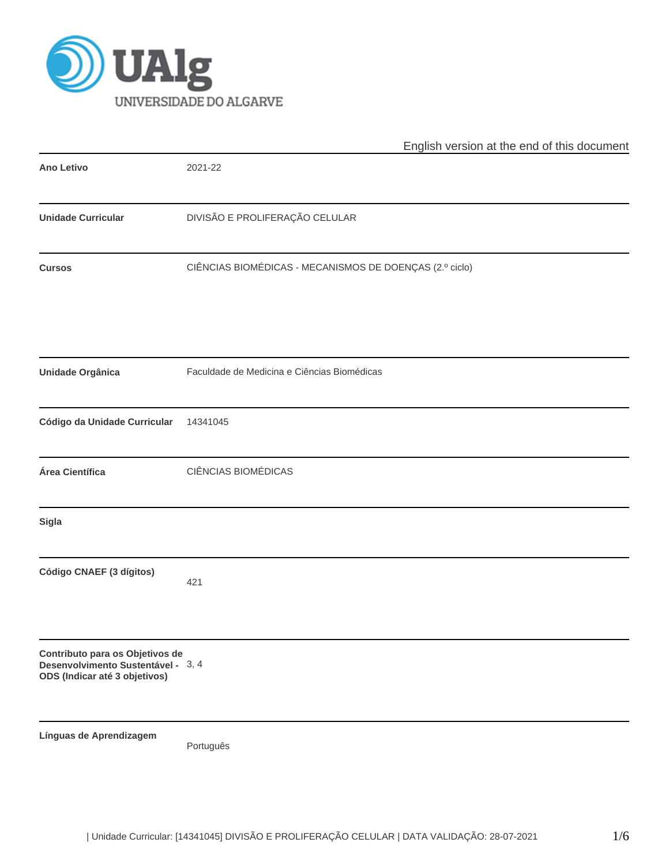

|                                                                                                        | English version at the end of this document             |
|--------------------------------------------------------------------------------------------------------|---------------------------------------------------------|
| <b>Ano Letivo</b>                                                                                      | 2021-22                                                 |
| <b>Unidade Curricular</b>                                                                              | DIVISÃO E PROLIFERAÇÃO CELULAR                          |
| <b>Cursos</b>                                                                                          | CIÊNCIAS BIOMÉDICAS - MECANISMOS DE DOENÇAS (2.º ciclo) |
| <b>Unidade Orgânica</b>                                                                                | Faculdade de Medicina e Ciências Biomédicas             |
| Código da Unidade Curricular                                                                           | 14341045                                                |
| Área Científica                                                                                        | CIÊNCIAS BIOMÉDICAS                                     |
| Sigla                                                                                                  |                                                         |
| Código CNAEF (3 dígitos)                                                                               | 421                                                     |
| Contributo para os Objetivos de<br>Desenvolvimento Sustentável - 3, 4<br>ODS (Indicar até 3 objetivos) |                                                         |
| Línguas de Aprendizagem                                                                                | Português                                               |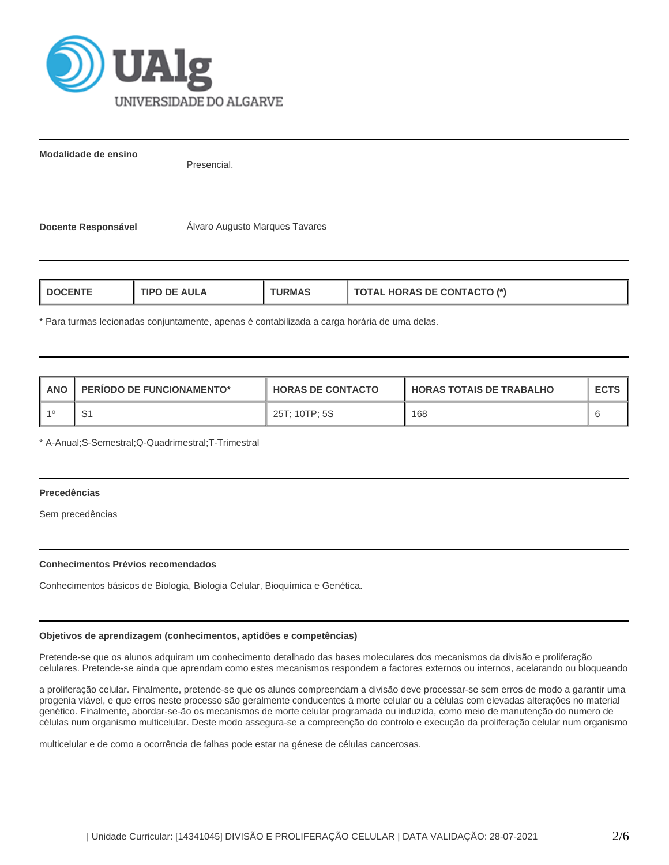

**Modalidade de ensino**

Presencial.

**Docente Responsável** Álvaro Augusto Marques Tavares

| <b>HORAS DE CONTACTO (*)</b><br><b>AULA</b><br><b>I DOCENT</b><br>1PO<br>ਾ?MA<br>71AL |
|---------------------------------------------------------------------------------------|
|---------------------------------------------------------------------------------------|

\* Para turmas lecionadas conjuntamente, apenas é contabilizada a carga horária de uma delas.

| <b>ANO</b> | <b>PERIODO DE FUNCIONAMENTO*</b> | <b>HORAS DE CONTACTO</b> | <b>HORAS TOTAIS DE TRABALHO</b> | <b>ECTS</b> |
|------------|----------------------------------|--------------------------|---------------------------------|-------------|
|            | ت                                | 25T; 10TP; 5S            | 168                             |             |

\* A-Anual;S-Semestral;Q-Quadrimestral;T-Trimestral

# **Precedências**

Sem precedências

## **Conhecimentos Prévios recomendados**

Conhecimentos básicos de Biologia, Biologia Celular, Bioquímica e Genética.

# **Objetivos de aprendizagem (conhecimentos, aptidões e competências)**

Pretende-se que os alunos adquiram um conhecimento detalhado das bases moleculares dos mecanismos da divisão e proliferação celulares. Pretende-se ainda que aprendam como estes mecanismos respondem a factores externos ou internos, acelarando ou bloqueando

a proliferação celular. Finalmente, pretende-se que os alunos compreendam a divisão deve processar-se sem erros de modo a garantir uma progenia viável, e que erros neste processo são geralmente conducentes à morte celular ou a células com elevadas alterações no material genético. Finalmente, abordar-se-ão os mecanismos de morte celular programada ou induzida, como meio de manutenção do numero de células num organismo multicelular. Deste modo assegura-se a compreenção do controlo e execução da proliferação celular num organismo

multicelular e de como a ocorrência de falhas pode estar na génese de células cancerosas.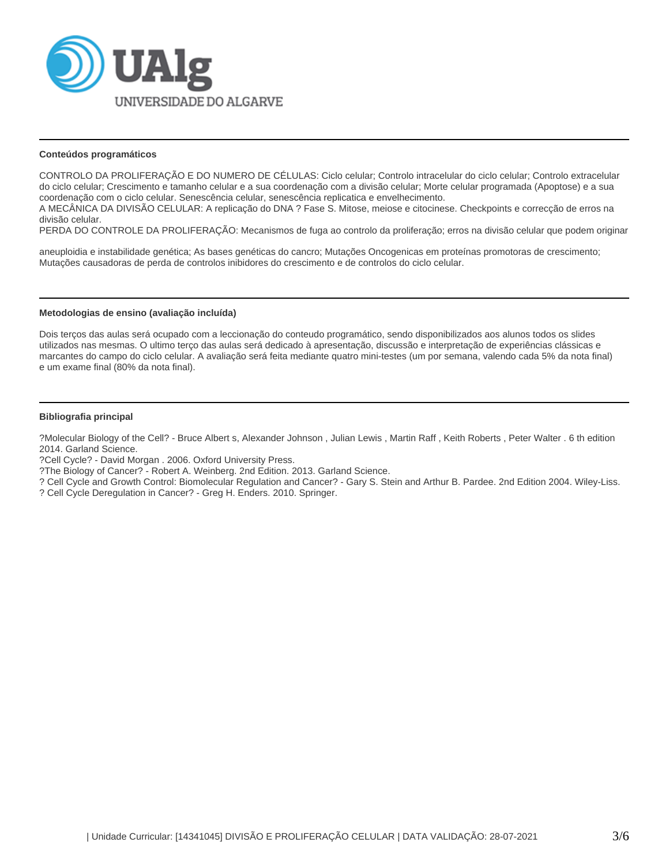

### **Conteúdos programáticos**

CONTROLO DA PROLIFERAÇÃO E DO NUMERO DE CÉLULAS: Ciclo celular; Controlo intracelular do ciclo celular; Controlo extracelular do ciclo celular; Crescimento e tamanho celular e a sua coordenação com a divisão celular; Morte celular programada (Apoptose) e a sua coordenação com o ciclo celular. Senescência celular, senescência replicatica e envelhecimento.

A MECÂNICA DA DIVISÃO CELULAR: A replicação do DNA ? Fase S. Mitose, meiose e citocinese. Checkpoints e correcção de erros na divisão celular.

PERDA DO CONTROLE DA PROLIFERAÇÃO: Mecanismos de fuga ao controlo da proliferação; erros na divisão celular que podem originar

aneuploidia e instabilidade genética; As bases genéticas do cancro; Mutações Oncogenicas em proteínas promotoras de crescimento; Mutações causadoras de perda de controlos inibidores do crescimento e de controlos do ciclo celular.

#### **Metodologias de ensino (avaliação incluída)**

Dois terços das aulas será ocupado com a leccionação do conteudo programático, sendo disponibilizados aos alunos todos os slides utilizados nas mesmas. O ultimo terço das aulas será dedicado à apresentação, discussão e interpretação de experiências clássicas e marcantes do campo do ciclo celular. A avaliação será feita mediante quatro mini-testes (um por semana, valendo cada 5% da nota final) e um exame final (80% da nota final).

#### **Bibliografia principal**

?Molecular Biology of the Cell? - Bruce Albert s, Alexander Johnson , Julian Lewis , Martin Raff , Keith Roberts , Peter Walter . 6 th edition 2014. Garland Science.

?Cell Cycle? - David Morgan . 2006. Oxford University Press.

?The Biology of Cancer? - Robert A. Weinberg. 2nd Edition. 2013. Garland Science.

? Cell Cycle and Growth Control: Biomolecular Regulation and Cancer? - Gary S. Stein and Arthur B. Pardee. 2nd Edition 2004. Wiley-Liss.

? Cell Cycle Deregulation in Cancer? - Greg H. Enders. 2010. Springer.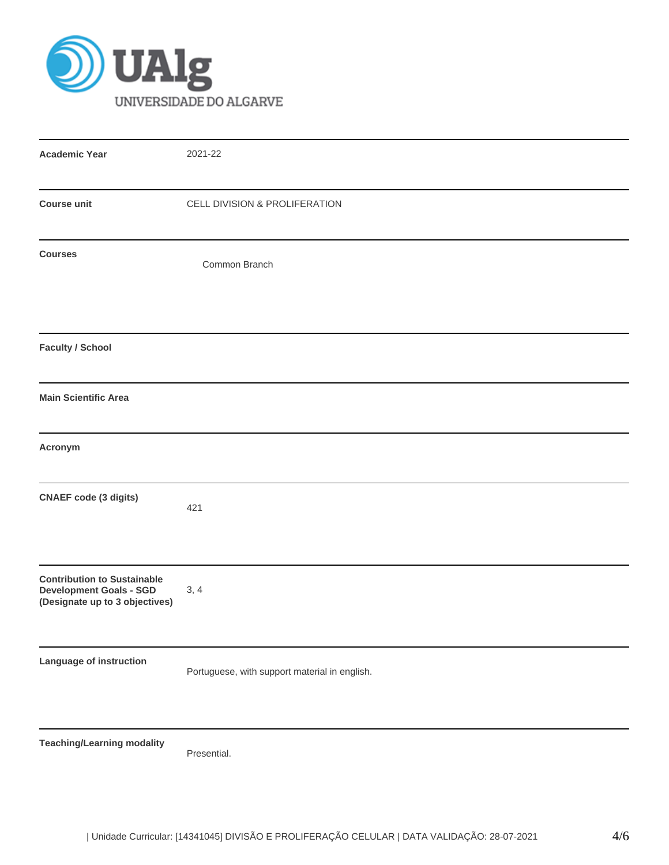

| <b>Academic Year</b>                                                                                   | 2021-22                                       |
|--------------------------------------------------------------------------------------------------------|-----------------------------------------------|
| <b>Course unit</b>                                                                                     | CELL DIVISION & PROLIFERATION                 |
| <b>Courses</b>                                                                                         | Common Branch                                 |
| <b>Faculty / School</b>                                                                                |                                               |
| <b>Main Scientific Area</b>                                                                            |                                               |
| Acronym                                                                                                |                                               |
| <b>CNAEF</b> code (3 digits)                                                                           | 421                                           |
| <b>Contribution to Sustainable</b><br><b>Development Goals - SGD</b><br>(Designate up to 3 objectives) | 3, 4                                          |
| Language of instruction                                                                                | Portuguese, with support material in english. |
| <b>Teaching/Learning modality</b>                                                                      | Presential.                                   |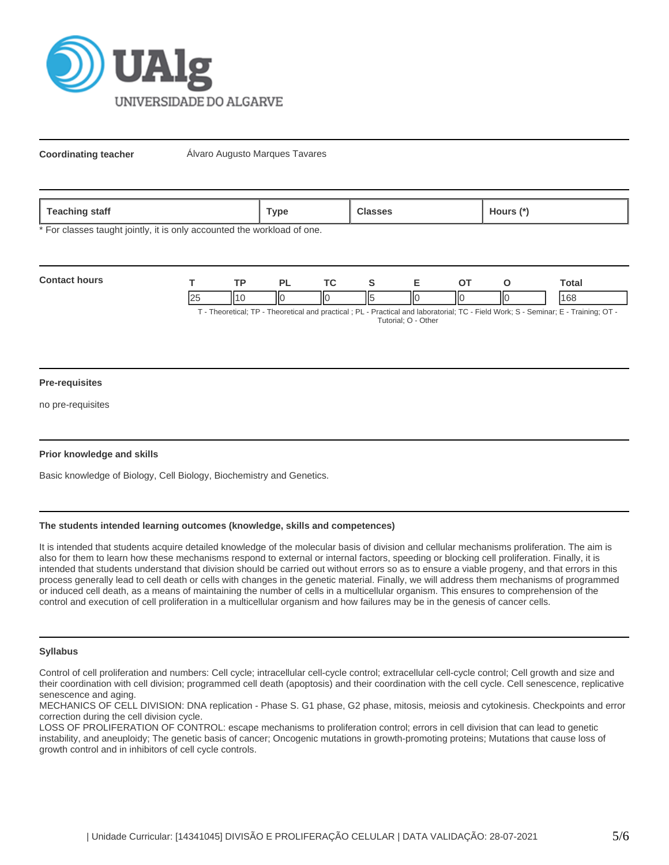

**Coordinating teacher Alvaro Augusto Marques Tavares** 

| `aack<br>staff<br>ື ເ≂αບ⊓⊞ <sub>ະວ</sub> | `vpe |  | <b>10Urs</b> |
|------------------------------------------|------|--|--------------|
|------------------------------------------|------|--|--------------|

\* For classes taught jointly, it is only accounted the workload of one.

| <b>Contact hours</b> |    | тn |   |  |  |    | `otal                                                                                                                        |
|----------------------|----|----|---|--|--|----|------------------------------------------------------------------------------------------------------------------------------|
|                      | 25 |    | Ш |  |  | IЮ |                                                                                                                              |
|                      |    |    |   |  |  |    | T. Theoretical: TD. Theoretical and proofisel : DJ. Droptical and laboraterial: TO. Field Warles C. Comings F. Training: OT. |

T - Theoretical; TP - Theoretical and practical ; PL - Practical and laboratorial; TC - Field Work; S - Seminar; E - Training; OT - Tutorial; O - Other

#### **Pre-requisites**

no pre-requisites

## **Prior knowledge and skills**

Basic knowledge of Biology, Cell Biology, Biochemistry and Genetics.

## **The students intended learning outcomes (knowledge, skills and competences)**

It is intended that students acquire detailed knowledge of the molecular basis of division and cellular mechanisms proliferation. The aim is also for them to learn how these mechanisms respond to external or internal factors, speeding or blocking cell proliferation. Finally, it is intended that students understand that division should be carried out without errors so as to ensure a viable progeny, and that errors in this process generally lead to cell death or cells with changes in the genetic material. Finally, we will address them mechanisms of programmed or induced cell death, as a means of maintaining the number of cells in a multicellular organism. This ensures to comprehension of the control and execution of cell proliferation in a multicellular organism and how failures may be in the genesis of cancer cells.

## **Syllabus**

Control of cell proliferation and numbers: Cell cycle; intracellular cell-cycle control; extracellular cell-cycle control; Cell growth and size and their coordination with cell division; programmed cell death (apoptosis) and their coordination with the cell cycle. Cell senescence, replicative senescence and aging.

MECHANICS OF CELL DIVISION: DNA replication - Phase S. G1 phase, G2 phase, mitosis, meiosis and cytokinesis. Checkpoints and error correction during the cell division cycle.

LOSS OF PROLIFERATION OF CONTROL: escape mechanisms to proliferation control; errors in cell division that can lead to genetic instability, and aneuploidy; The genetic basis of cancer; Oncogenic mutations in growth-promoting proteins; Mutations that cause loss of growth control and in inhibitors of cell cycle controls.